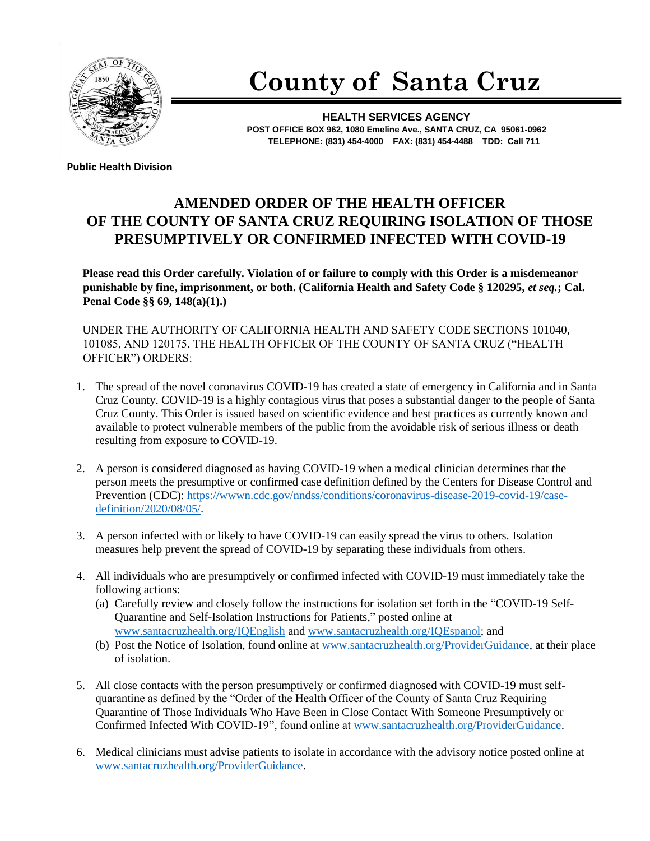

## **County of Santa Cruz**

**HEALTH SERVICES AGENCY POST OFFICE BOX 962, 1080 Emeline Ave., SANTA CRUZ, CA 95061-0962 TELEPHONE: (831) 454-4000 FAX: (831) 454-4488 TDD: Call 711**

**Public Health Division** 

## **AMENDED ORDER OF THE HEALTH OFFICER OF THE COUNTY OF SANTA CRUZ REQUIRING ISOLATION OF THOSE PRESUMPTIVELY OR CONFIRMED INFECTED WITH COVID-19**

**Please read this Order carefully. Violation of or failure to comply with this Order is a misdemeanor punishable by fine, imprisonment, or both. (California Health and Safety Code § 120295,** *et seq.***; Cal. Penal Code §§ 69, 148(a)(1).)**

UNDER THE AUTHORITY OF CALIFORNIA HEALTH AND SAFETY CODE SECTIONS 101040, 101085, AND 120175, THE HEALTH OFFICER OF THE COUNTY OF SANTA CRUZ ("HEALTH OFFICER") ORDERS:

- 1. The spread of the novel coronavirus COVID-19 has created a state of emergency in California and in Santa Cruz County. COVID-19 is a highly contagious virus that poses a substantial danger to the people of Santa Cruz County. This Order is issued based on scientific evidence and best practices as currently known and available to protect vulnerable members of the public from the avoidable risk of serious illness or death resulting from exposure to COVID-19.
- 2. A person is considered diagnosed as having COVID-19 when a medical clinician determines that the person meets the presumptive or confirmed case definition defined by the Centers for Disease Control and Prevention (CDC): [https://wwwn.cdc.gov/nndss/conditions/coronavirus-disease-2019-covid-19/case](https://wwwn.cdc.gov/nndss/conditions/coronavirus-disease-2019-covid-19/case-definition/2020/08/05/)[definition/2020/08/05/.](https://wwwn.cdc.gov/nndss/conditions/coronavirus-disease-2019-covid-19/case-definition/2020/08/05/)
- 3. A person infected with or likely to have COVID-19 can easily spread the virus to others. Isolation measures help prevent the spread of COVID-19 by separating these individuals from others.
- 4. All individuals who are presumptively or confirmed infected with COVID-19 must immediately take the following actions:
	- (a) Carefully review and closely follow the instructions for isolation set forth in the "COVID-19 Self-Quarantine and Self-Isolation Instructions for Patients," posted online at [www.santacruzhealth.org/IQEnglish](http://www.santacruzhealth.org/IQEnglish) and [www.santacruzhealth.org/IQEspanol;](http://www.santacruzhealth.org/IQEspanol) and
	- (b) Post the Notice of Isolation, found online at [www.santacruzhealth.org/ProviderGuidance,](http://www.santacruzhealth.org/ProviderGuidance) at their place of isolation.
- 5. All close contacts with the person presumptively or confirmed diagnosed with COVID-19 must selfquarantine as defined by the "Order of the Health Officer of the County of Santa Cruz Requiring Quarantine of Those Individuals Who Have Been in Close Contact With Someone Presumptively or Confirmed Infected With COVID-19", found online at [www.santacruzhealth.org/ProviderGuidance.](http://www.santacruzhealth.org/ProviderGuidance)
- 6. Medical clinicians must advise patients to isolate in accordance with the advisory notice posted online at [www.santacruzhealth.org/ProviderGuidance.](http://www.santacruzhealth.org/ProviderGuidance)